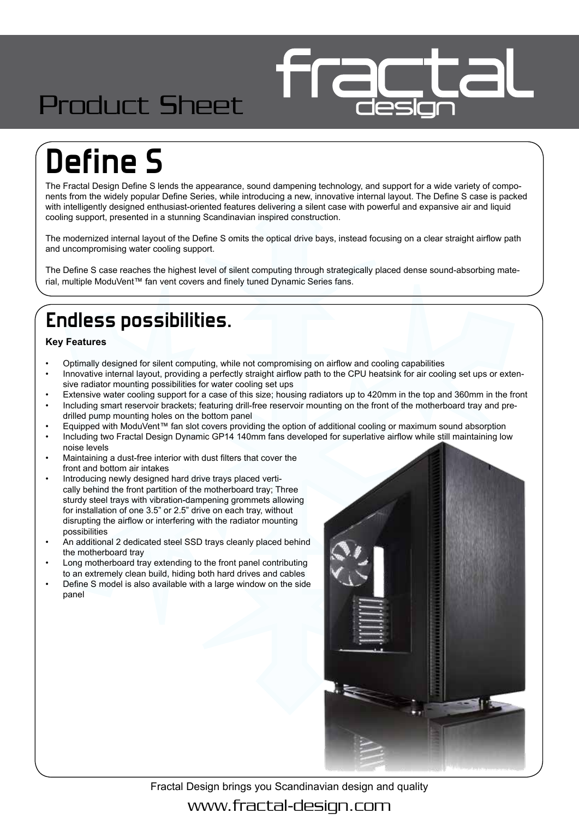## Product Sheet

# **Define S**

The Fractal Design Define S lends the appearance, sound dampening technology, and support for a wide variety of components from the widely popular Define Series, while introducing a new, innovative internal layout. The Define S case is packed with intelligently designed enthusiast-oriented features delivering a silent case with powerful and expansive air and liquid cooling support, presented in a stunning Scandinavian inspired construction.

The modernized internal layout of the Define S omits the optical drive bays, instead focusing on a clear straight airflow path and uncompromising water cooling support.

The Define S case reaches the highest level of silent computing through strategically placed dense sound-absorbing material, multiple ModuVent™ fan vent covers and finely tuned Dynamic Series fans.

#### **Endless possibilities.**

#### **Key Features**

- Optimally designed for silent computing, while not compromising on airflow and cooling capabilities
- Innovative internal layout, providing a perfectly straight airflow path to the CPU heatsink for air cooling set ups or extensive radiator mounting possibilities for water cooling set ups
- Extensive water cooling support for a case of this size; housing radiators up to 420mm in the top and 360mm in the front • Including smart reservoir brackets; featuring drill-free reservoir mounting on the front of the motherboard tray and predrilled pump mounting holes on the bottom panel
- Equipped with ModuVent™ fan slot covers providing the option of additional cooling or maximum sound absorption
- Including two Fractal Design Dynamic GP14 140mm fans developed for superlative airflow while still maintaining low noise levels
- Maintaining a dust-free interior with dust filters that cover the front and bottom air intakes
- Introducing newly designed hard drive trays placed vertically behind the front partition of the motherboard tray; Three sturdy steel trays with vibration-dampening grommets allowing for installation of one 3.5" or 2.5" drive on each tray, without disrupting the airflow or interfering with the radiator mounting possibilities
- An additional 2 dedicated steel SSD trays cleanly placed behind the motherboard tray
- Long motherboard tray extending to the front panel contributing to an extremely clean build, hiding both hard drives and cables
- Define S model is also available with a large window on the side panel



Fractal Design brings you Scandinavian design and quality www.fractal-design.com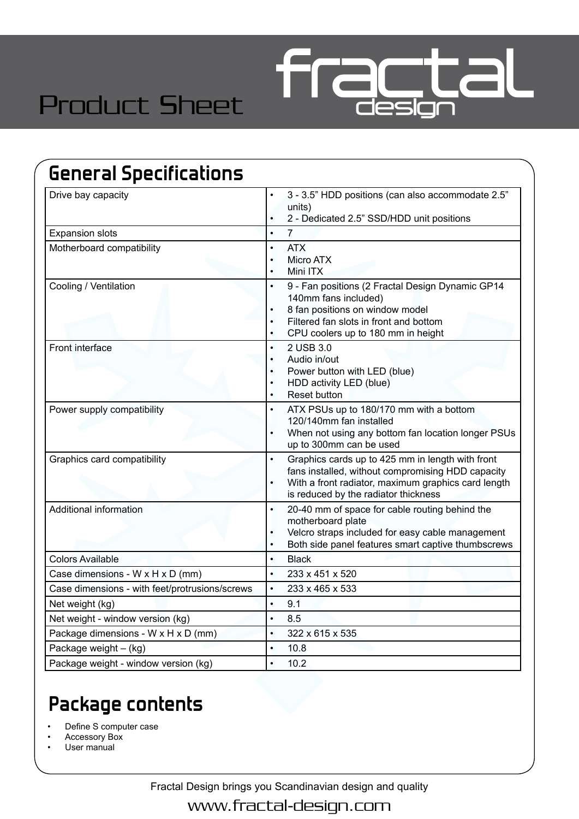

## Product Sheet

| <b>General Specifications</b>                  |                                                                                                                                                                                                                                                 |  |  |  |  |
|------------------------------------------------|-------------------------------------------------------------------------------------------------------------------------------------------------------------------------------------------------------------------------------------------------|--|--|--|--|
| Drive bay capacity                             | 3 - 3.5" HDD positions (can also accommodate 2.5"<br>units)<br>2 - Dedicated 2.5" SSD/HDD unit positions<br>$\bullet$                                                                                                                           |  |  |  |  |
| <b>Expansion slots</b>                         | $\overline{7}$<br>$\bullet$                                                                                                                                                                                                                     |  |  |  |  |
| Motherboard compatibility                      | <b>ATX</b><br>$\bullet$<br>Micro ATX<br>$\bullet$<br>Mini ITX<br>$\bullet$                                                                                                                                                                      |  |  |  |  |
| Cooling / Ventilation                          | 9 - Fan positions (2 Fractal Design Dynamic GP14<br>$\bullet$<br>140mm fans included)<br>8 fan positions on window model<br>$\bullet$<br>Filtered fan slots in front and bottom<br>$\bullet$<br>CPU coolers up to 180 mm in height<br>$\bullet$ |  |  |  |  |
| Front interface                                | 2 USB 3.0<br>$\bullet$<br>Audio in/out<br>$\bullet$<br>Power button with LED (blue)<br>HDD activity LED (blue)<br>٠<br><b>Reset button</b><br>$\bullet$                                                                                         |  |  |  |  |
| Power supply compatibility                     | ATX PSUs up to 180/170 mm with a bottom<br>$\bullet$<br>120/140mm fan installed<br>When not using any bottom fan location longer PSUs<br>$\bullet$<br>up to 300mm can be used                                                                   |  |  |  |  |
| Graphics card compatibility                    | Graphics cards up to 425 mm in length with front<br>$\bullet$<br>fans installed, without compromising HDD capacity<br>With a front radiator, maximum graphics card length<br>is reduced by the radiator thickness                               |  |  |  |  |
| Additional information                         | 20-40 mm of space for cable routing behind the<br>$\bullet$<br>motherboard plate<br>Velcro straps included for easy cable management<br>$\bullet$<br>Both side panel features smart captive thumbscrews<br>$\bullet$                            |  |  |  |  |
| <b>Colors Available</b>                        | <b>Black</b><br>$\bullet$                                                                                                                                                                                                                       |  |  |  |  |
| Case dimensions - W x H x D (mm)               | 233 x 451 x 520<br>$\bullet$                                                                                                                                                                                                                    |  |  |  |  |
| Case dimensions - with feet/protrusions/screws | 233 x 465 x 533                                                                                                                                                                                                                                 |  |  |  |  |
| Net weight (kg)                                | 9.1<br>$\bullet$                                                                                                                                                                                                                                |  |  |  |  |
| Net weight - window version (kg)               | 8.5<br>$\bullet$                                                                                                                                                                                                                                |  |  |  |  |
| Package dimensions - W x H x D (mm)            | 322 x 615 x 535<br>$\bullet$                                                                                                                                                                                                                    |  |  |  |  |
| Package weight - (kg)                          | 10.8<br>$\bullet$                                                                                                                                                                                                                               |  |  |  |  |
| Package weight - window version (kg)           | 10.2<br>$\bullet$                                                                                                                                                                                                                               |  |  |  |  |

### **Package contents**

Define S computer case

• Accessory Box

User manual

Fractal Design brings you Scandinavian design and quality

www.fractal-design.com